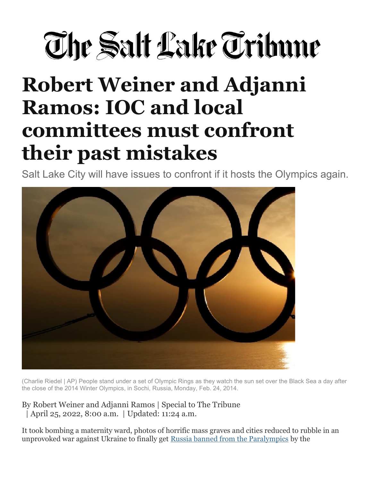## The Salt Lake Tribune

## Robert Weiner and Adjanni Ramos: IOC and local committees must confront their past mistakes

Salt Lake City will have issues to confront if it hosts the Olympics again.



(Charlie Riedel | AP) People stand under a set of Olympic Rings as they watch the sun set over the Black Sea a day after the close of the 2014 Winter Olympics, in Sochi, Russia, Monday, Feb. 24, 2014.

By Robert Weiner and Adjanni Ramos | Special to The Tribune | April 25, 2022, 8:00 a.m. | Updated: 11:24 a.m.

It took bombing a maternity ward, photos of horrific mass graves and cities reduced to rubble in an unprovoked war against Ukraine to finally get Russia banned from the Paralympics by the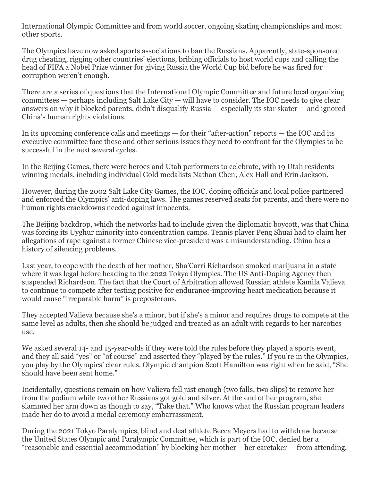International Olympic Committee and from world soccer, ongoing skating championships and most other sports.

The Olympics have now asked sports associations to ban the Russians. Apparently, state-sponsored drug cheating, rigging other countries' elections, bribing officials to host world cups and calling the head of FIFA a Nobel Prize winner for giving Russia the World Cup bid before he was fired for corruption weren't enough.

There are a series of questions that the International Olympic Committee and future local organizing  $commities$  — perhaps including Salt Lake City — will have to consider. The IOC needs to give clear answers on why it blocked parents, didn't disqualify Russia — especially its star skater — and ignored China's human rights violations.

In its upcoming conference calls and meetings — for their "after-action" reports — the IOC and its executive committee face these and other serious issues they need to confront for the Olympics to be successful in the next several cycles.

In the Beijing Games, there were heroes and Utah performers to celebrate, with 19 Utah residents winning medals, including individual Gold medalists Nathan Chen, Alex Hall and Erin Jackson.

However, during the 2002 Salt Lake City Games, the IOC, doping officials and local police partnered and enforced the Olympics' anti-doping laws. The games reserved seats for parents, and there were no human rights crackdowns needed against innocents.

The Beijing backdrop, which the networks had to include given the diplomatic boycott, was that China was forcing its Uyghur minority into concentration camps. Tennis player Peng Shuai had to claim her allegations of rape against a former Chinese vice-president was a misunderstanding. China has a history of silencing problems.

Last year, to cope with the death of her mother, Sha'Carri Richardson smoked marijuana in a state where it was legal before heading to the 2022 Tokyo Olympics. The US Anti-Doping Agency then suspended Richardson. The fact that the Court of Arbitration allowed Russian athlete Kamila Valieva to continue to compete after testing positive for endurance-improving heart medication because it would cause "irreparable harm" is preposterous.

They accepted Valieva because she's a minor, but if she's a minor and requires drugs to compete at the same level as adults, then she should be judged and treated as an adult with regards to her narcotics use.

We asked several 14- and 15-year-olds if they were told the rules before they played a sports event, and they all said "yes" or "of course" and asserted they "played by the rules." If you're in the Olympics, you play by the Olympics' clear rules. Olympic champion Scott Hamilton was right when he said, "She should have been sent home."

Incidentally, questions remain on how Valieva fell just enough (two falls, two slips) to remove her from the podium while two other Russians got gold and silver. At the end of her program, she slammed her arm down as though to say, "Take that." Who knows what the Russian program leaders made her do to avoid a medal ceremony embarrassment.

During the 2021 Tokyo Paralympics, blind and deaf athlete Becca Meyers had to withdraw because the United States Olympic and Paralympic Committee, which is part of the IOC, denied her a "reasonable and essential accommodation" by blocking her mother – her caretaker — from attending.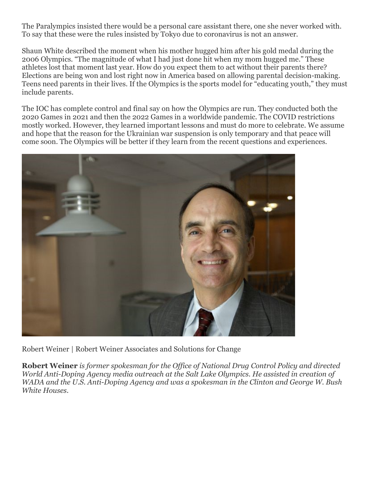The Paralympics insisted there would be a personal care assistant there, one she never worked with. To say that these were the rules insisted by Tokyo due to coronavirus is not an answer.

Shaun White described the moment when his mother hugged him after his gold medal during the 2006 Olympics. "The magnitude of what I had just done hit when my mom hugged me." These athletes lost that moment last year. How do you expect them to act without their parents there? Elections are being won and lost right now in America based on allowing parental decision-making. Teens need parents in their lives. If the Olympics is the sports model for "educating youth," they must include parents.

The IOC has complete control and final say on how the Olympics are run. They conducted both the 2020 Games in 2021 and then the 2022 Games in a worldwide pandemic. The COVID restrictions mostly worked. However, they learned important lessons and must do more to celebrate. We assume and hope that the reason for the Ukrainian war suspension is only temporary and that peace will come soon. The Olympics will be better if they learn from the recent questions and experiences.



Robert Weiner | Robert Weiner Associates and Solutions for Change

Robert Weiner is former spokesman for the Office of National Drug Control Policy and directed World Anti-Doping Agency media outreach at the Salt Lake Olympics. He assisted in creation of WADA and the U.S. Anti-Doping Agency and was a spokesman in the Clinton and George W. Bush White Houses.